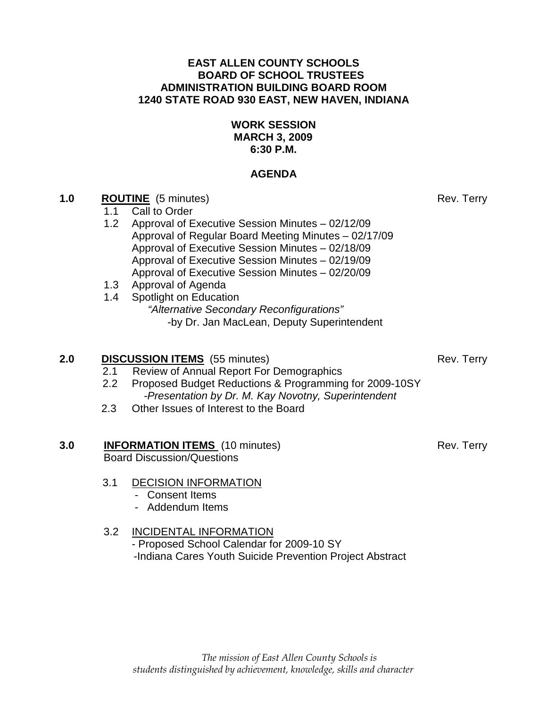### **EAST ALLEN COUNTY SCHOOLS BOARD OF SCHOOL TRUSTEES ADMINISTRATION BUILDING BOARD ROOM 1240 STATE ROAD 930 EAST, NEW HAVEN, INDIANA**

### **WORK SESSION MARCH 3, 2009 6:30 P.M.**

### **AGENDA**

## **1.0 ROUTINE** (5 minutes) Rev. Terry

- 1.1Call to Order
- 1.2 Approval of Executive Session Minutes 02/12/09 Approval of Regular Board Meeting Minutes – 02/17/09 Approval of Executive Session Minutes – 02/18/09 Approval of Executive Session Minutes – 02/19/09 Approval of Executive Session Minutes – 02/20/09
- 1.3 Approval of Agenda
- 1.4 Spotlight on Education "Alternative Secondary Reconfigurations" -by Dr. Jan MacLean, Deputy Superintendent

## **2.0 DISCUSSION ITEMS** (55 minutes) Rev. Terry

- 2.1 Review of Annual Report For Demographics
- 2.2 Proposed Budget Reductions & Programming for 2009-10SY -Presentation by Dr. M. Kay Novotny, Superintendent
- 2.3 Other Issues of Interest to the Board

# **3.0 INFORMATION ITEMS** (10 minutes) Rev. Terry

Board Discussion/Questions

## 3.1 DECISION INFORMATION

- Consent Items
- Addendum Items

# 3.2 INCIDENTAL INFORMATION

 - Proposed School Calendar for 2009-10 SY -Indiana Cares Youth Suicide Prevention Project Abstract